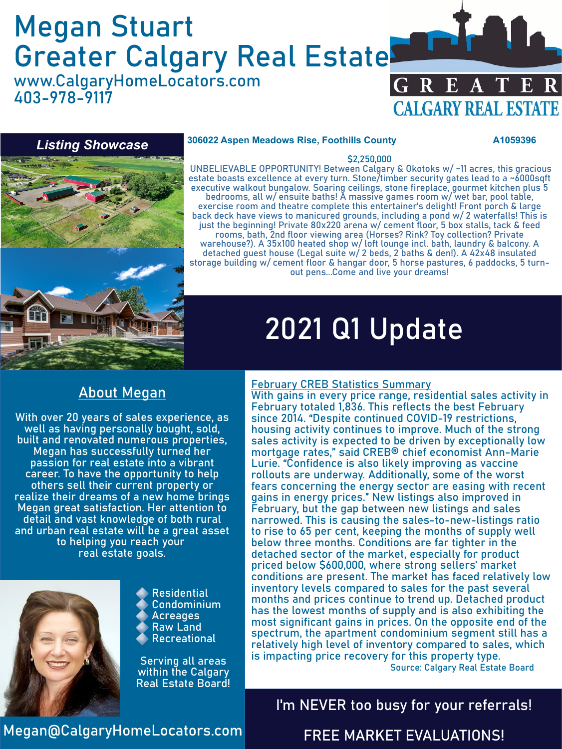# Megan Stuart Greater Calgary Real Estate

www.CalgaryHomeLocators.com 403-978-9117





#### **306022 Aspen Meadows Rise, Foothills County A1059396**

#### \$2,250,000

UNBELIEVABLE OPPORTUNITY! Between Calgary & Okotoks w/ ~11 acres, this gracious estate boasts excellence at every turn. Stone/timber security gates lead to a ~6000sqft executive walkout bungalow. Soaring ceilings, stone fireplace, gourmet kitchen plus 5 bedrooms, all w/ ensuite baths! A massive games room w/ wet bar, pool table, exercise room and theatre complete this entertainer's delight! Front porch & large back deck have views to manicured grounds, including a pond w/ 2 waterfalls! This is just the beginning! Private 80x220 arena w/ cement floor, 5 box stalls, tack & feed rooms, bath, 2nd floor viewing area (Horses? Rink? Toy collection? Private warehouse?). A 35x100 heated shop w/ loft lounge incl. bath, laundry & balcony. A detached guest house (Legal suite w/ 2 beds, 2 baths & den!). A 42x48 insulated storage building w/ cement floor & hangar door, 5 horse pastures, 6 paddocks, 5 turnout pens...Come and live your dreams!

# 2021 Q1 Update

### About Megan

With over 20 years of sales experience, as well as having personally bought, sold, built and renovated numerous properties, Megan has successfully turned her passion for real estate into a vibrant career. To have the opportunity to help others sell their current property or realize their dreams of a new home brings Megan great satisfaction. Her attention to detail and vast knowledge of both rural and urban real estate will be a great asset to helping you reach your real estate goals.



Residential Condominium Acreages Raw Land Recreational

Serving all areas within the Calgary Real Estate Board!

#### February CREB Statistics Summary

With gains in every price range, residential sales activity in February totaled 1,836. This reflects the best February since 2014. "Despite continued COVID-19 restrictions, housing activity continues to improve. Much of the strong sales activity is expected to be driven by exceptionally low mortgage rates," said CREB® chief economist Ann-Marie Lurie. "Confidence is also likely improving as vaccine rollouts are underway. Additionally, some of the worst fears concerning the energy sector are easing with recent gains in energy prices." New listings also improved in February, but the gap between new listings and sales narrowed. This is causing the sales-to-new-listings ratio to rise to 65 per cent, keeping the months of supply well below three months. Conditions are far tighter in the detached sector of the market, especially for product priced below \$600,000, where strong sellers' market conditions are present. The market has faced relatively low inventory levels compared to sales for the past several months and prices continue to trend up. Detached product has the lowest months of supply and is also exhibiting the most significant gains in prices. On the opposite end of the spectrum, the apartment condominium segment still has a relatively high level of inventory compared to sales, which is impacting price recovery for this property type.

Source: Calgary Real Estate Board

### I'm NEVER too busy for your referrals!

Megan@CalgaryHomeLocators.com

### FREE MARKET EVALUATIONS!